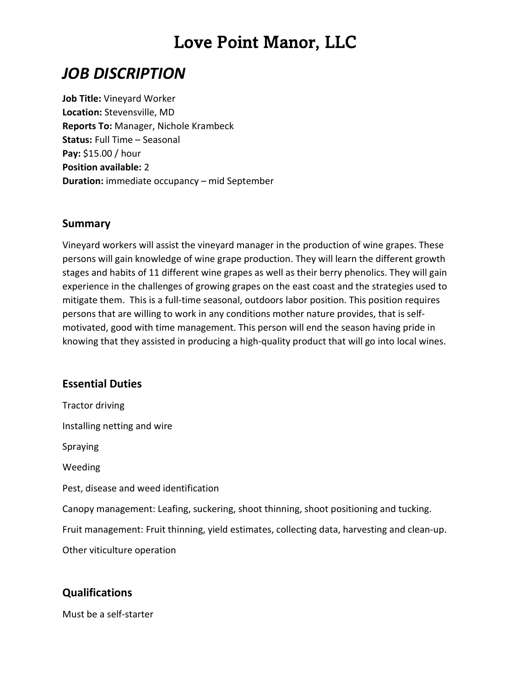## Love Point Manor, LLC

### JOB DISCRIPTION

Job Title: Vineyard Worker Location: Stevensville, MD Reports To: Manager, Nichole Krambeck Status: Full Time – Seasonal Pay: \$15.00 / hour Position available: 2 Duration: immediate occupancy – mid September

#### Summary

Vineyard workers will assist the vineyard manager in the production of wine grapes. These persons will gain knowledge of wine grape production. They will learn the different growth stages and habits of 11 different wine grapes as well as their berry phenolics. They will gain experience in the challenges of growing grapes on the east coast and the strategies used to mitigate them. This is a full-time seasonal, outdoors labor position. This position requires persons that are willing to work in any conditions mother nature provides, that is selfmotivated, good with time management. This person will end the season having pride in knowing that they assisted in producing a high-quality product that will go into local wines.

#### Essential Duties

Tractor driving Installing netting and wire Spraying Weeding Pest, disease and weed identification Canopy management: Leafing, suckering, shoot thinning, shoot positioning and tucking. Fruit management: Fruit thinning, yield estimates, collecting data, harvesting and clean-up. Other viticulture operation

#### Qualifications

Must be a self-starter